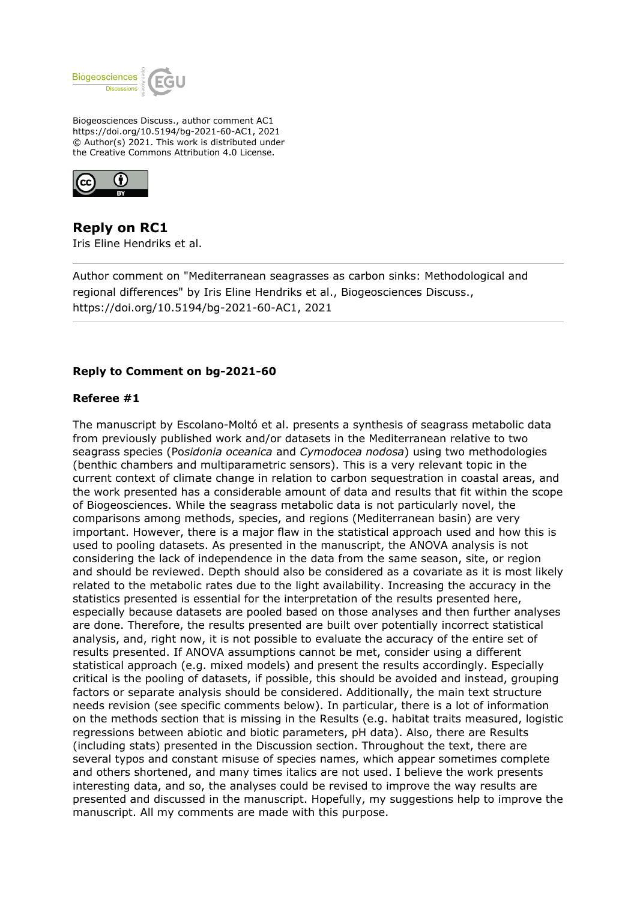

Biogeosciences Discuss., author comment AC1 https://doi.org/10.5194/bg-2021-60-AC1, 2021 © Author(s) 2021. This work is distributed under the Creative Commons Attribution 4.0 License.



**Reply on RC1** Iris Eline Hendriks et al.

Author comment on "Mediterranean seagrasses as carbon sinks: Methodological and regional differences" by Iris Eline Hendriks et al., Biogeosciences Discuss., https://doi.org/10.5194/bg-2021-60-AC1, 2021

### **Reply to Comment on bg-2021-60**

### **Referee #1**

The manuscript by Escolano-Moltó et al. presents a synthesis of seagrass metabolic data from previously published work and/or datasets in the Mediterranean relative to two seagrass species (Po*sidonia oceanica* and *Cymodocea nodosa*) using two methodologies (benthic chambers and multiparametric sensors). This is a very relevant topic in the current context of climate change in relation to carbon sequestration in coastal areas, and the work presented has a considerable amount of data and results that fit within the scope of Biogeosciences. While the seagrass metabolic data is not particularly novel, the comparisons among methods, species, and regions (Mediterranean basin) are very important. However, there is a major flaw in the statistical approach used and how this is used to pooling datasets. As presented in the manuscript, the ANOVA analysis is not considering the lack of independence in the data from the same season, site, or region and should be reviewed. Depth should also be considered as a covariate as it is most likely related to the metabolic rates due to the light availability. Increasing the accuracy in the statistics presented is essential for the interpretation of the results presented here, especially because datasets are pooled based on those analyses and then further analyses are done. Therefore, the results presented are built over potentially incorrect statistical analysis, and, right now, it is not possible to evaluate the accuracy of the entire set of results presented. If ANOVA assumptions cannot be met, consider using a different statistical approach (e.g. mixed models) and present the results accordingly. Especially critical is the pooling of datasets, if possible, this should be avoided and instead, grouping factors or separate analysis should be considered. Additionally, the main text structure needs revision (see specific comments below). In particular, there is a lot of information on the methods section that is missing in the Results (e.g. habitat traits measured, logistic regressions between abiotic and biotic parameters, pH data). Also, there are Results (including stats) presented in the Discussion section. Throughout the text, there are several typos and constant misuse of species names, which appear sometimes complete and others shortened, and many times italics are not used. I believe the work presents interesting data, and so, the analyses could be revised to improve the way results are presented and discussed in the manuscript. Hopefully, my suggestions help to improve the manuscript. All my comments are made with this purpose.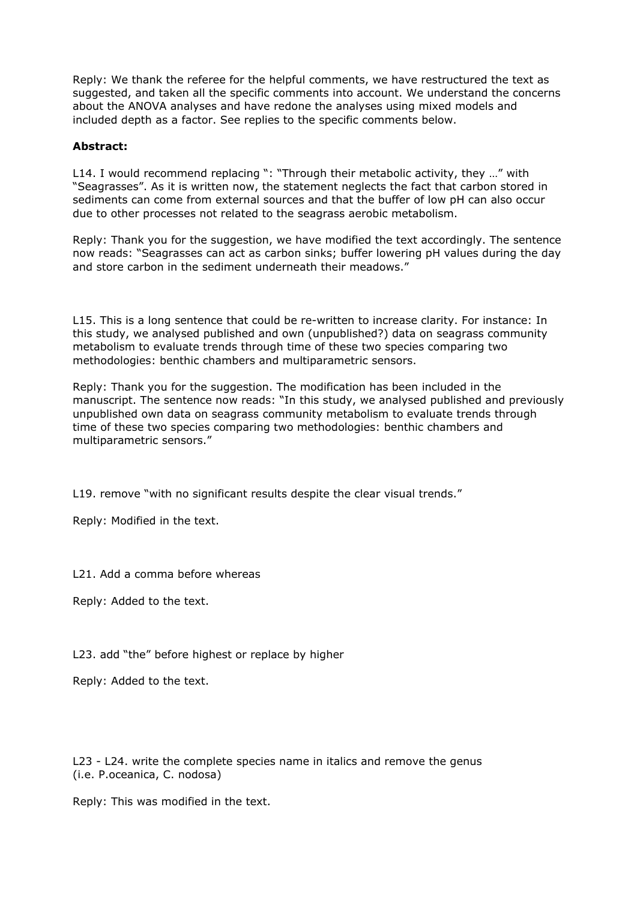Reply: We thank the referee for the helpful comments, we have restructured the text as suggested, and taken all the specific comments into account. We understand the concerns about the ANOVA analyses and have redone the analyses using mixed models and included depth as a factor. See replies to the specific comments below.

# **Abstract:**

L14. I would recommend replacing ": "Through their metabolic activity, they ..." with "Seagrasses". As it is written now, the statement neglects the fact that carbon stored in sediments can come from external sources and that the buffer of low pH can also occur due to other processes not related to the seagrass aerobic metabolism.

Reply: Thank you for the suggestion, we have modified the text accordingly. The sentence now reads: "Seagrasses can act as carbon sinks; buffer lowering pH values during the day and store carbon in the sediment underneath their meadows."

L15. This is a long sentence that could be re-written to increase clarity. For instance: In this study, we analysed published and own (unpublished?) data on seagrass community metabolism to evaluate trends through time of these two species comparing two methodologies: benthic chambers and multiparametric sensors.

Reply: Thank you for the suggestion. The modification has been included in the manuscript. The sentence now reads: "In this study, we analysed published and previously unpublished own data on seagrass community metabolism to evaluate trends through time of these two species comparing two methodologies: benthic chambers and multiparametric sensors."

L19. remove "with no significant results despite the clear visual trends."

Reply: Modified in the text.

L21. Add a comma before whereas

Reply: Added to the text.

L23. add "the" before highest or replace by higher

Reply: Added to the text.

L23 - L24. write the complete species name in italics and remove the genus (i.e. P.oceanica, C. nodosa)

Reply: This was modified in the text.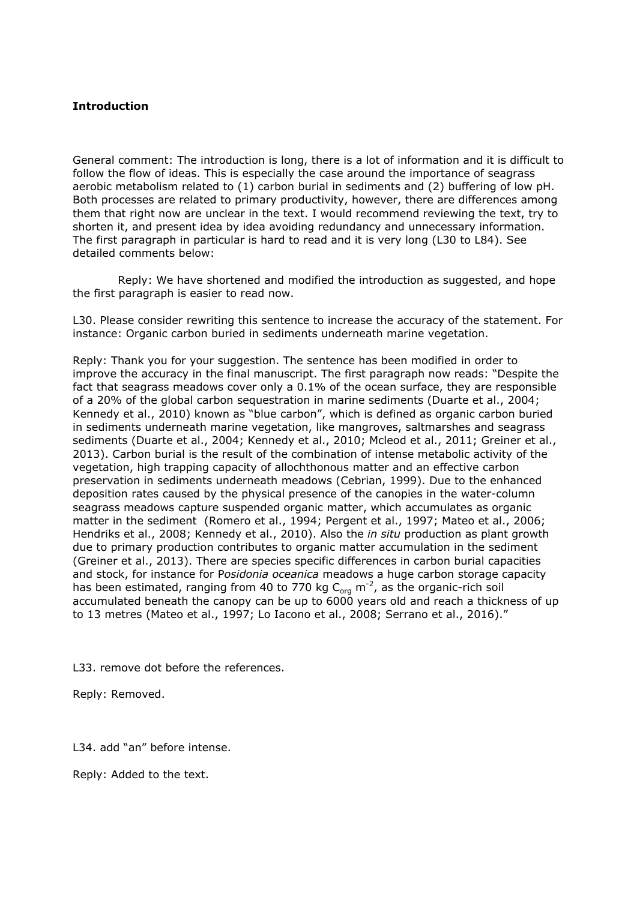# **Introduction**

General comment: The introduction is long, there is a lot of information and it is difficult to follow the flow of ideas. This is especially the case around the importance of seagrass aerobic metabolism related to (1) carbon burial in sediments and (2) buffering of low pH. Both processes are related to primary productivity, however, there are differences among them that right now are unclear in the text. I would recommend reviewing the text, try to shorten it, and present idea by idea avoiding redundancy and unnecessary information. The first paragraph in particular is hard to read and it is very long (L30 to L84). See detailed comments below:

 Reply: We have shortened and modified the introduction as suggested, and hope the first paragraph is easier to read now.

L30. Please consider rewriting this sentence to increase the accuracy of the statement. For instance: Organic carbon buried in sediments underneath marine vegetation.

Reply: Thank you for your suggestion. The sentence has been modified in order to improve the accuracy in the final manuscript. The first paragraph now reads: "Despite the fact that seagrass meadows cover only a 0.1% of the ocean surface, they are responsible of a 20% of the global carbon sequestration in marine sediments (Duarte et al., 2004; Kennedy et al., 2010) known as "blue carbon", which is defined as organic carbon buried in sediments underneath marine vegetation, like mangroves, saltmarshes and seagrass sediments (Duarte et al., 2004; Kennedy et al., 2010; Mcleod et al., 2011; Greiner et al., 2013). Carbon burial is the result of the combination of intense metabolic activity of the vegetation, high trapping capacity of allochthonous matter and an effective carbon preservation in sediments underneath meadows (Cebrian, 1999). Due to the enhanced deposition rates caused by the physical presence of the canopies in the water-column seagrass meadows capture suspended organic matter, which accumulates as organic matter in the sediment (Romero et al., 1994; Pergent et al., 1997; Mateo et al., 2006; Hendriks et al., 2008; Kennedy et al., 2010). Also the *in situ* production as plant growth due to primary production contributes to organic matter accumulation in the sediment (Greiner et al., 2013). There are species specific differences in carbon burial capacities and stock, for instance for P*osidonia oceanica* meadows a huge carbon storage capacity has been estimated, ranging from 40 to 770 kg C<sub>org</sub> m<sup>-2</sup>, as the organic-rich soil accumulated beneath the canopy can be up to 6000 years old and reach a thickness of up to 13 metres (Mateo et al., 1997; Lo Iacono et al., 2008; Serrano et al., 2016)."

L33. remove dot before the references.

Reply: Removed.

L34. add "an" before intense.

Reply: Added to the text.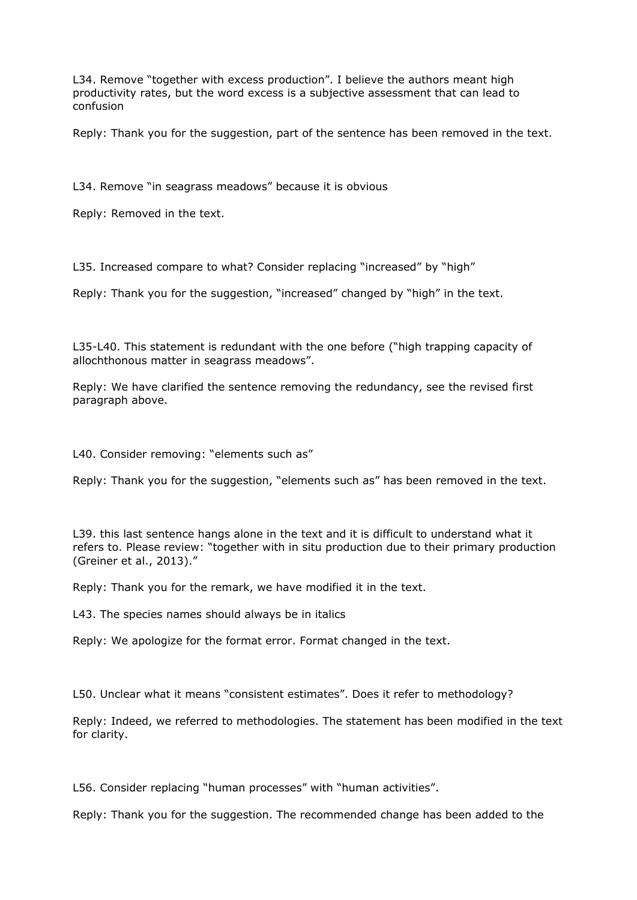L34. Remove "together with excess production". I believe the authors meant high productivity rates, but the word excess is a subjective assessment that can lead to confusion

Reply: Thank you for the suggestion, part of the sentence has been removed in the text.

L34. Remove "in seagrass meadows" because it is obvious

Reply: Removed in the text.

L35. Increased compare to what? Consider replacing "increased" by "high"

Reply: Thank you for the suggestion, "increased" changed by "high" in the text.

L35-L40. This statement is redundant with the one before ("high trapping capacity of allochthonous matter in seagrass meadows".

Reply: We have clarified the sentence removing the redundancy, see the revised first paragraph above.

L40. Consider removing: "elements such as"

Reply: Thank you for the suggestion, "elements such as" has been removed in the text.

L39. this last sentence hangs alone in the text and it is difficult to understand what it refers to. Please review: "together with in situ production due to their primary production (Greiner et al., 2013)."

Reply: Thank you for the remark, we have modified it in the text.

L43. The species names should always be in italics

Reply: We apologize for the format error. Format changed in the text.

L50. Unclear what it means "consistent estimates". Does it refer to methodology?

Reply: Indeed, we referred to methodologies. The statement has been modified in the text for clarity.

L56. Consider replacing "human processes" with "human activities".

Reply: Thank you for the suggestion. The recommended change has been added to the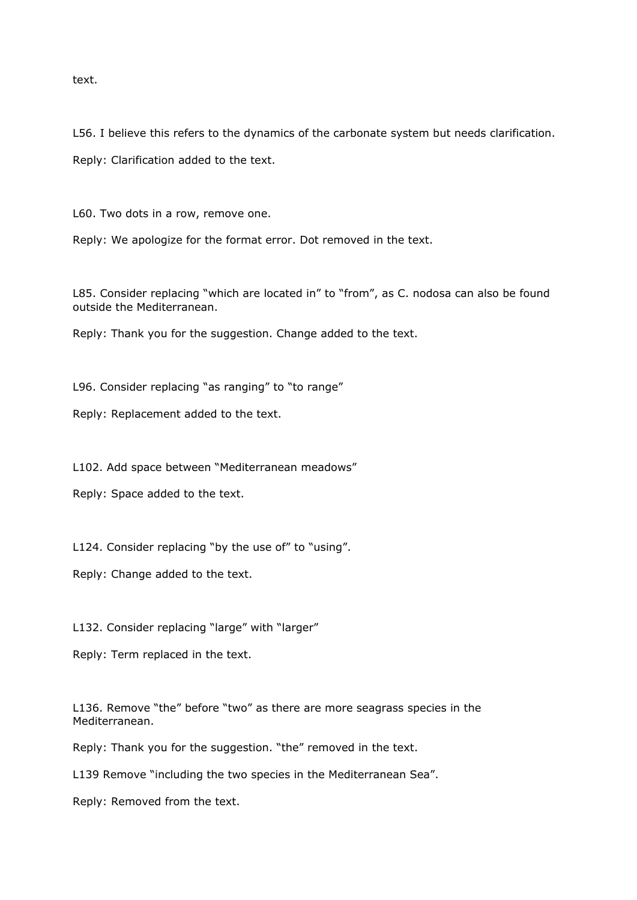text.

L56. I believe this refers to the dynamics of the carbonate system but needs clarification.

Reply: Clarification added to the text.

L60. Two dots in a row, remove one.

Reply: We apologize for the format error. Dot removed in the text.

L85. Consider replacing "which are located in" to "from", as C. nodosa can also be found outside the Mediterranean.

Reply: Thank you for the suggestion. Change added to the text.

L96. Consider replacing "as ranging" to "to range"

Reply: Replacement added to the text.

L102. Add space between "Mediterranean meadows"

Reply: Space added to the text.

L124. Consider replacing "by the use of" to "using".

Reply: Change added to the text.

L132. Consider replacing "large" with "larger"

Reply: Term replaced in the text.

L136. Remove "the" before "two" as there are more seagrass species in the Mediterranean.

Reply: Thank you for the suggestion. "the" removed in the text.

L139 Remove "including the two species in the Mediterranean Sea".

Reply: Removed from the text.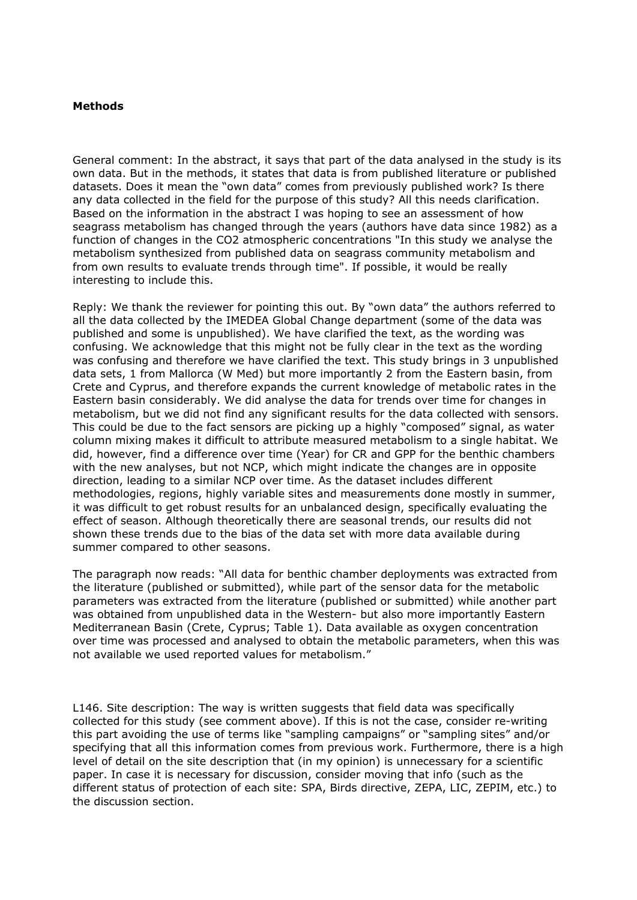### **Methods**

General comment: In the abstract, it says that part of the data analysed in the study is its own data. But in the methods, it states that data is from published literature or published datasets. Does it mean the "own data" comes from previously published work? Is there any data collected in the field for the purpose of this study? All this needs clarification. Based on the information in the abstract I was hoping to see an assessment of how seagrass metabolism has changed through the years (authors have data since 1982) as a function of changes in the CO2 atmospheric concentrations "In this study we analyse the metabolism synthesized from published data on seagrass community metabolism and from own results to evaluate trends through time". If possible, it would be really interesting to include this.

Reply: We thank the reviewer for pointing this out. By "own data" the authors referred to all the data collected by the IMEDEA Global Change department (some of the data was published and some is unpublished). We have clarified the text, as the wording was confusing. We acknowledge that this might not be fully clear in the text as the wording was confusing and therefore we have clarified the text. This study brings in 3 unpublished data sets, 1 from Mallorca (W Med) but more importantly 2 from the Eastern basin, from Crete and Cyprus, and therefore expands the current knowledge of metabolic rates in the Eastern basin considerably. We did analyse the data for trends over time for changes in metabolism, but we did not find any significant results for the data collected with sensors. This could be due to the fact sensors are picking up a highly "composed" signal, as water column mixing makes it difficult to attribute measured metabolism to a single habitat. We did, however, find a difference over time (Year) for CR and GPP for the benthic chambers with the new analyses, but not NCP, which might indicate the changes are in opposite direction, leading to a similar NCP over time. As the dataset includes different methodologies, regions, highly variable sites and measurements done mostly in summer, it was difficult to get robust results for an unbalanced design, specifically evaluating the effect of season. Although theoretically there are seasonal trends, our results did not shown these trends due to the bias of the data set with more data available during summer compared to other seasons.

The paragraph now reads: "All data for benthic chamber deployments was extracted from the literature (published or submitted), while part of the sensor data for the metabolic parameters was extracted from the literature (published or submitted) while another part was obtained from unpublished data in the Western- but also more importantly Eastern Mediterranean Basin (Crete, Cyprus; Table 1). Data available as oxygen concentration over time was processed and analysed to obtain the metabolic parameters, when this was not available we used reported values for metabolism."

L146. Site description: The way is written suggests that field data was specifically collected for this study (see comment above). If this is not the case, consider re-writing this part avoiding the use of terms like "sampling campaigns" or "sampling sites" and/or specifying that all this information comes from previous work. Furthermore, there is a high level of detail on the site description that (in my opinion) is unnecessary for a scientific paper. In case it is necessary for discussion, consider moving that info (such as the different status of protection of each site: SPA, Birds directive, ZEPA, LIC, ZEPIM, etc.) to the discussion section.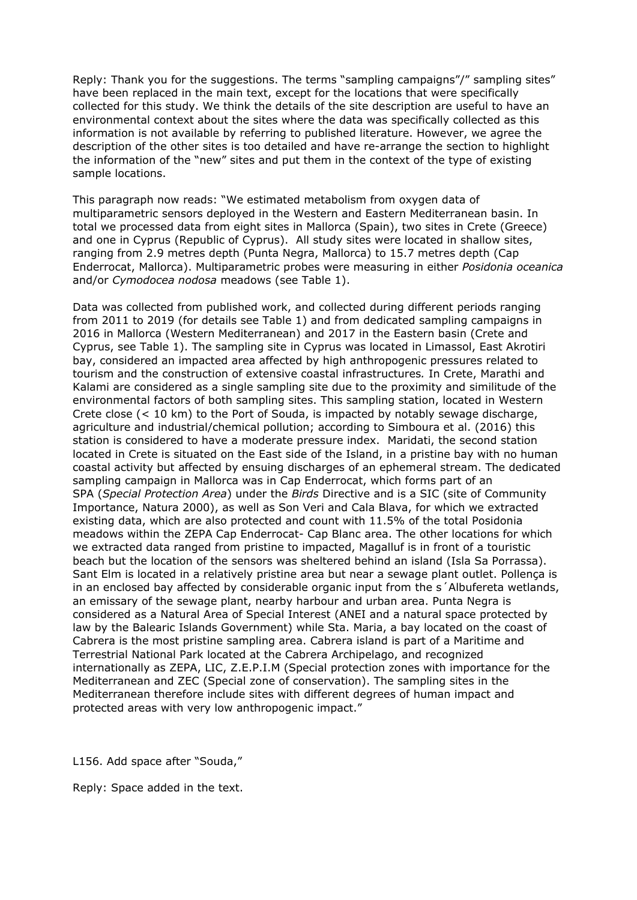Reply: Thank you for the suggestions. The terms "sampling campaigns"/" sampling sites" have been replaced in the main text, except for the locations that were specifically collected for this study. We think the details of the site description are useful to have an environmental context about the sites where the data was specifically collected as this information is not available by referring to published literature. However, we agree the description of the other sites is too detailed and have re-arrange the section to highlight the information of the "new" sites and put them in the context of the type of existing sample locations.

This paragraph now reads: "We estimated metabolism from oxygen data of multiparametric sensors deployed in the Western and Eastern Mediterranean basin. In total we processed data from eight sites in Mallorca (Spain), two sites in Crete (Greece) and one in Cyprus (Republic of Cyprus). All study sites were located in shallow sites, ranging from 2.9 metres depth (Punta Negra, Mallorca) to 15.7 metres depth (Cap Enderrocat, Mallorca). Multiparametric probes were measuring in either *Posidonia oceanica* and/or *Cymodocea nodosa* meadows (see Table 1).

Data was collected from published work, and collected during different periods ranging from 2011 to 2019 (for details see Table 1) and from dedicated sampling campaigns in 2016 in Mallorca (Western Mediterranean) and 2017 in the Eastern basin (Crete and Cyprus, see Table 1). The sampling site in Cyprus was located in Limassol, East Akrotiri bay, considered an impacted area affected by high anthropogenic pressures related to tourism and the construction of extensive coastal infrastructures*.* In Crete, Marathi and Kalami are considered as a single sampling site due to the proximity and similitude of the environmental factors of both sampling sites. This sampling station, located in Western Crete close (< 10 km) to the Port of Souda, is impacted by notably sewage discharge, agriculture and industrial/chemical pollution; according to Simboura et al. (2016) this station is considered to have a moderate pressure index. Maridati, the second station located in Crete is situated on the East side of the Island, in a pristine bay with no human coastal activity but affected by ensuing discharges of an ephemeral stream. The dedicated sampling campaign in Mallorca was in Cap Enderrocat, which forms part of an SPA (*Special Protection Area*) under the *Birds* Directive and is a SIC (site of Community Importance, Natura 2000), as well as Son Veri and Cala Blava, for which we extracted existing data, which are also protected and count with 11.5% of the total Posidonia meadows within the ZEPA Cap Enderrocat- Cap Blanc area. The other locations for which we extracted data ranged from pristine to impacted, Magalluf is in front of a touristic beach but the location of the sensors was sheltered behind an island (Isla Sa Porrassa). Sant Elm is located in a relatively pristine area but near a sewage plant outlet. Pollença is in an enclosed bay affected by considerable organic input from the s´Albufereta wetlands, an emissary of the sewage plant, nearby harbour and urban area. Punta Negra is considered as a Natural Area of Special Interest (ANEI and a natural space protected by law by the Balearic Islands Government) while Sta. Maria, a bay located on the coast of Cabrera is the most pristine sampling area. Cabrera island is part of a Maritime and Terrestrial National Park located at the Cabrera Archipelago, and recognized internationally as ZEPA, LIC, Z.E.P.I.M (Special protection zones with importance for the Mediterranean and ZEC (Special zone of conservation). The sampling sites in the Mediterranean therefore include sites with different degrees of human impact and protected areas with very low anthropogenic impact."

L156. Add space after "Souda,"

Reply: Space added in the text.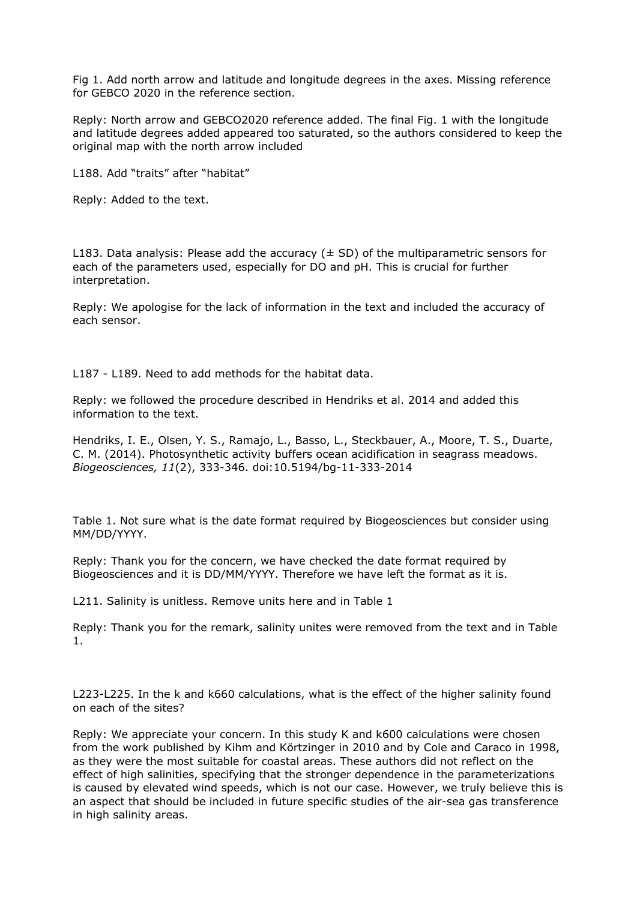Fig 1. Add north arrow and latitude and longitude degrees in the axes. Missing reference for GEBCO 2020 in the reference section.

Reply: North arrow and GEBCO2020 reference added. The final Fig. 1 with the longitude and latitude degrees added appeared too saturated, so the authors considered to keep the original map with the north arrow included

L188. Add "traits" after "habitat"

Reply: Added to the text.

L183. Data analysis: Please add the accuracy  $(± SD)$  of the multiparametric sensors for each of the parameters used, especially for DO and pH. This is crucial for further interpretation.

Reply: We apologise for the lack of information in the text and included the accuracy of each sensor.

L187 - L189. Need to add methods for the habitat data.

Reply: we followed the procedure described in Hendriks et al. 2014 and added this information to the text.

Hendriks, I. E., Olsen, Y. S., Ramajo, L., Basso, L., Steckbauer, A., Moore, T. S., Duarte, C. M. (2014). Photosynthetic activity buffers ocean acidification in seagrass meadows. *Biogeosciences, 11*(2), 333-346. doi:10.5194/bg-11-333-2014

Table 1. Not sure what is the date format required by Biogeosciences but consider using MM/DD/YYYY.

Reply: Thank you for the concern, we have checked the date format required by Biogeosciences and it is DD/MM/YYYY. Therefore we have left the format as it is.

L211. Salinity is unitless. Remove units here and in Table 1

Reply: Thank you for the remark, salinity unites were removed from the text and in Table 1.

L223-L225. In the k and k660 calculations, what is the effect of the higher salinity found on each of the sites?

Reply: We appreciate your concern. In this study K and k600 calculations were chosen from the work published by Kihm and Körtzinger in 2010 and by Cole and Caraco in 1998, as they were the most suitable for coastal areas. These authors did not reflect on the effect of high salinities, specifying that the stronger dependence in the parameterizations is caused by elevated wind speeds, which is not our case. However, we truly believe this is an aspect that should be included in future specific studies of the air-sea gas transference in high salinity areas.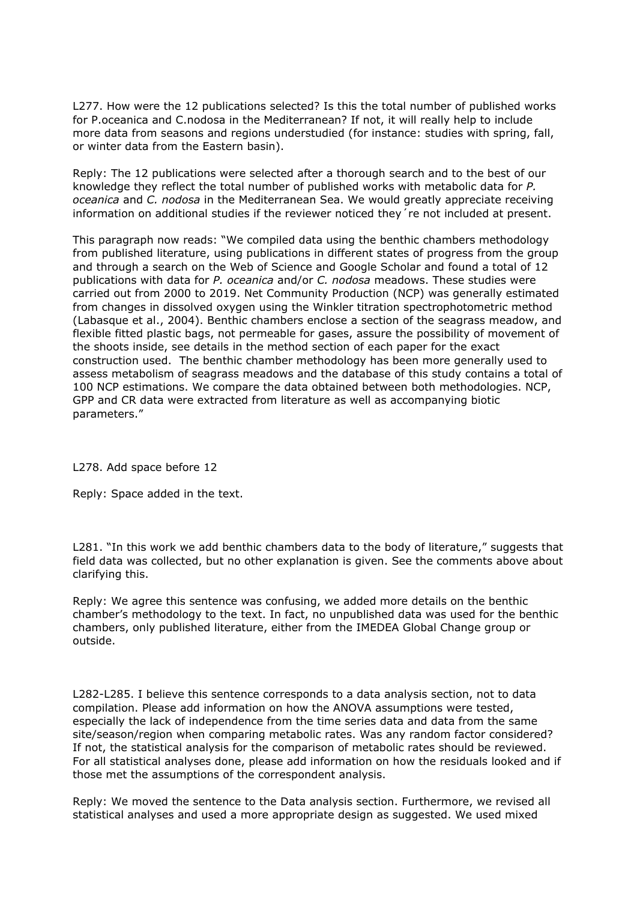L277. How were the 12 publications selected? Is this the total number of published works for P.oceanica and C.nodosa in the Mediterranean? If not, it will really help to include more data from seasons and regions understudied (for instance: studies with spring, fall, or winter data from the Eastern basin).

Reply: The 12 publications were selected after a thorough search and to the best of our knowledge they reflect the total number of published works with metabolic data for *P. oceanica* and *C. nodosa* in the Mediterranean Sea. We would greatly appreciate receiving information on additional studies if the reviewer noticed they 're not included at present.

This paragraph now reads: "We compiled data using the benthic chambers methodology from published literature, using publications in different states of progress from the group and through a search on the Web of Science and Google Scholar and found a total of 12 publications with data for *P. oceanica* and/or *C. nodosa* meadows. These studies were carried out from 2000 to 2019. Net Community Production (NCP) was generally estimated from changes in dissolved oxygen using the Winkler titration spectrophotometric method (Labasque et al., 2004). Benthic chambers enclose a section of the seagrass meadow, and flexible fitted plastic bags, not permeable for gases, assure the possibility of movement of the shoots inside, see details in the method section of each paper for the exact construction used. The benthic chamber methodology has been more generally used to assess metabolism of seagrass meadows and the database of this study contains a total of 100 NCP estimations. We compare the data obtained between both methodologies. NCP, GPP and CR data were extracted from literature as well as accompanying biotic parameters."

L278. Add space before 12

Reply: Space added in the text.

L281. "In this work we add benthic chambers data to the body of literature," suggests that field data was collected, but no other explanation is given. See the comments above about clarifying this.

Reply: We agree this sentence was confusing, we added more details on the benthic chamber's methodology to the text. In fact, no unpublished data was used for the benthic chambers, only published literature, either from the IMEDEA Global Change group or outside.

L282-L285. I believe this sentence corresponds to a data analysis section, not to data compilation. Please add information on how the ANOVA assumptions were tested, especially the lack of independence from the time series data and data from the same site/season/region when comparing metabolic rates. Was any random factor considered? If not, the statistical analysis for the comparison of metabolic rates should be reviewed. For all statistical analyses done, please add information on how the residuals looked and if those met the assumptions of the correspondent analysis.

Reply: We moved the sentence to the Data analysis section. Furthermore, we revised all statistical analyses and used a more appropriate design as suggested. We used mixed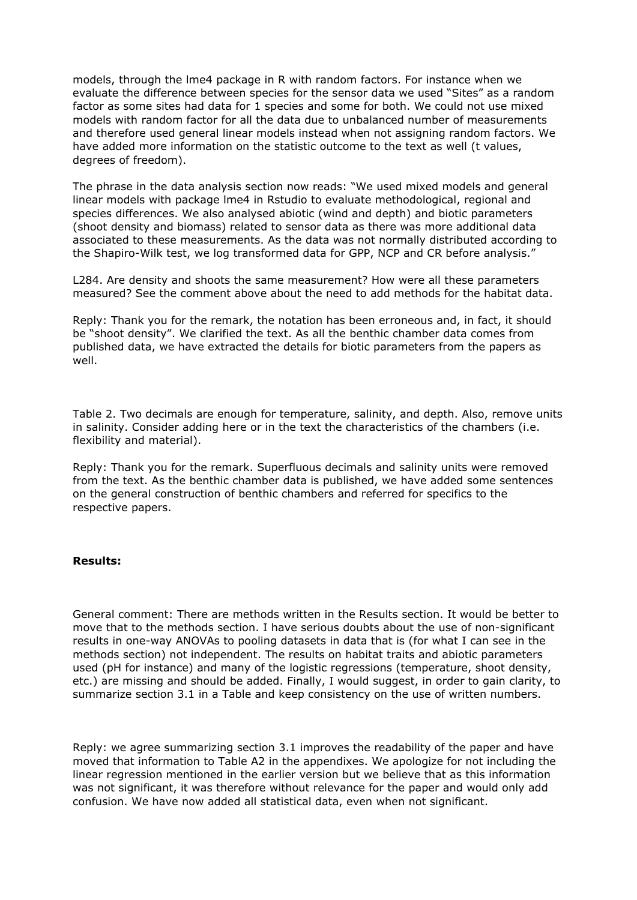models, through the lme4 package in R with random factors. For instance when we evaluate the difference between species for the sensor data we used "Sites" as a random factor as some sites had data for 1 species and some for both. We could not use mixed models with random factor for all the data due to unbalanced number of measurements and therefore used general linear models instead when not assigning random factors. We have added more information on the statistic outcome to the text as well (t values, degrees of freedom).

The phrase in the data analysis section now reads: "We used mixed models and general linear models with package lme4 in Rstudio to evaluate methodological, regional and species differences. We also analysed abiotic (wind and depth) and biotic parameters (shoot density and biomass) related to sensor data as there was more additional data associated to these measurements. As the data was not normally distributed according to the Shapiro-Wilk test, we log transformed data for GPP, NCP and CR before analysis."

L284. Are density and shoots the same measurement? How were all these parameters measured? See the comment above about the need to add methods for the habitat data.

Reply: Thank you for the remark, the notation has been erroneous and, in fact, it should be "shoot density". We clarified the text. As all the benthic chamber data comes from published data, we have extracted the details for biotic parameters from the papers as well.

Table 2. Two decimals are enough for temperature, salinity, and depth. Also, remove units in salinity. Consider adding here or in the text the characteristics of the chambers (i.e. flexibility and material).

Reply: Thank you for the remark. Superfluous decimals and salinity units were removed from the text. As the benthic chamber data is published, we have added some sentences on the general construction of benthic chambers and referred for specifics to the respective papers.

### **Results:**

General comment: There are methods written in the Results section. It would be better to move that to the methods section. I have serious doubts about the use of non-significant results in one-way ANOVAs to pooling datasets in data that is (for what I can see in the methods section) not independent. The results on habitat traits and abiotic parameters used (pH for instance) and many of the logistic regressions (temperature, shoot density, etc.) are missing and should be added. Finally, I would suggest, in order to gain clarity, to summarize section 3.1 in a Table and keep consistency on the use of written numbers.

Reply: we agree summarizing section 3.1 improves the readability of the paper and have moved that information to Table A2 in the appendixes. We apologize for not including the linear regression mentioned in the earlier version but we believe that as this information was not significant, it was therefore without relevance for the paper and would only add confusion. We have now added all statistical data, even when not significant.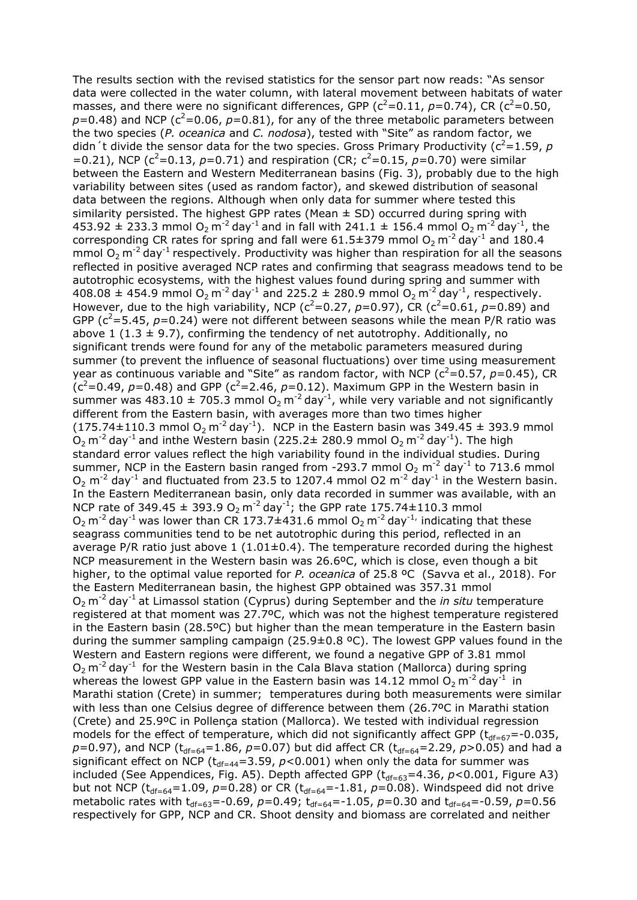The results section with the revised statistics for the sensor part now reads: "As sensor data were collected in the water column, with lateral movement between habitats of water masses, and there were no significant differences, GPP ( $c^2$ =0.11,  $p$ =0.74), CR ( $c^2$ =0.50,  $p=0.48$ ) and NCP ( $c^2$ =0.06,  $p=0.81$ ), for any of the three metabolic parameters between the two species (*P. oceanica* and *C. nodosa*), tested with "Site" as random factor, we didn<sup>'</sup>t divide the sensor data for the two species. Gross Primary Productivity ( $c^2$ =1.59, *p* =0.21), NCP ( $c^2$ =0.13, *p*=0.71) and respiration (CR;  $c^2$ =0.15, *p*=0.70) were similar between the Eastern and Western Mediterranean basins (Fig. 3), probably due to the high variability between sites (used as random factor), and skewed distribution of seasonal data between the regions. Although when only data for summer where tested this similarity persisted. The highest GPP rates (Mean  $\pm$  SD) occurred during spring with 453.92  $\pm$  233.3 mmol O<sub>2</sub> m<sup>-2</sup> day<sup>-1</sup> and in fall with 241.1  $\pm$  156.4 mmol O<sub>2</sub> m<sup>-2</sup> day<sup>-1</sup>, the corresponding CR rates for spring and fall were  $61.5\pm379$  mmol  $O_2$  m<sup>-2</sup> day<sup>-1</sup> and 180.4 mmol  $O_2$  m<sup>-2</sup> day<sup>-1</sup> respectively. Productivity was higher than respiration for all the seasons reflected in positive averaged NCP rates and confirming that seagrass meadows tend to be autotrophic ecosystems, with the highest values found during spring and summer with 408.08  $\pm$  454.9 mmol O<sub>2</sub> m<sup>-2</sup> day<sup>-1</sup> and 225.2  $\pm$  280.9 mmol O<sub>2</sub> m<sup>-2</sup> day<sup>-1</sup>, respectively. However, due to the high variability, NCP ( $c^2$ =0.27,  $p$ =0.97), CR ( $c^2$ =0.61,  $p$ =0.89) and GPP ( $c^2$ =5.45,  $p$ =0.24) were not different between seasons while the mean P/R ratio was above 1 (1.3  $\pm$  9.7), confirming the tendency of net autotrophy. Additionally, no significant trends were found for any of the metabolic parameters measured during summer (to prevent the influence of seasonal fluctuations) over time using measurement year as continuous variable and "Site" as random factor, with NCP ( $c^2$ =0.57,  $p$ =0.45), CR ( $c^2$ =0.49, *p*=0.48) and GPP ( $c^2$ =2.46, *p*=0.12). Maximum GPP in the Western basin in summer was 483.10  $\pm$  705.3 mmol O<sub>2</sub> m<sup>-2</sup> day<sup>-1</sup>, while very variable and not significantly different from the Eastern basin, with averages more than two times higher (175.74±110.3 mmol O<sub>2</sub> m<sup>-2</sup> day<sup>-1</sup>). NCP in the Eastern basin was 349.45 ± 393.9 mmol  $O_2$  m<sup>-2</sup> day<sup>-1</sup> and inthe Western basin (225.2 $\pm$  280.9 mmol  $O_2$  m<sup>-2</sup> day<sup>-1</sup>). The high standard error values reflect the high variability found in the individual studies. During summer, NCP in the Eastern basin ranged from -293.7 mmol  $O_2$  m<sup>-2</sup> day<sup>-1</sup> to 713.6 mmol  $O_2$  m<sup>-2</sup> day<sup>-1</sup> and fluctuated from 23.5 to 1207.4 mmol O2 m<sup>-2</sup> day<sup>-1</sup> in the Western basin. In the Eastern Mediterranean basin, only data recorded in summer was available, with an NCP rate of 349.45  $\pm$  393.9 O<sub>2</sub> m<sup>-2</sup> day<sup>-1</sup>; the GPP rate 175.74 $\pm$ 110.3 mmol  $O_2$  m<sup>-2</sup> day<sup>-1</sup> was lower than CR 173.7 $\pm$ 431.6 mmol  $O_2$  m<sup>-2</sup> day<sup>-1</sup> indicating that these seagrass communities tend to be net autotrophic during this period, reflected in an average P/R ratio just above 1 (1.01 $\pm$ 0.4). The temperature recorded during the highest NCP measurement in the Western basin was 26.6ºC, which is close, even though a bit higher, to the optimal value reported for *P. oceanica* of 25.8 ºC (Savva et al., 2018). For the Eastern Mediterranean basin, the highest GPP obtained was 357.31 mmol O<sub>2</sub> m<sup>-2</sup> day<sup>-1</sup> at Limassol station (Cyprus) during September and the *in situ* temperature registered at that moment was 27.7ºC, which was not the highest temperature registered in the Eastern basin (28.5ºC) but higher than the mean temperature in the Eastern basin during the summer sampling campaign (25.9 $\pm$ 0.8 °C). The lowest GPP values found in the Western and Eastern regions were different, we found a negative GPP of 3.81 mmol  $O_2$  m<sup>-2</sup> day<sup>-1</sup> for the Western basin in the Cala Blava station (Mallorca) during spring whereas the lowest GPP value in the Eastern basin was 14.12 mmol  $O_2$  m<sup>-2</sup> day<sup>-1</sup> in Marathi station (Crete) in summer; temperatures during both measurements were similar with less than one Celsius degree of difference between them (26.7ºC in Marathi station (Crete) and 25.9ºC in Pollença station (Mallorca). We tested with individual regression models for the effect of temperature, which did not significantly affect GPP ( $t_{df=67}$ =-0.035,  $p=0.97$ ), and NCP (t<sub>df=64</sub>=1.86,  $p=0.07$ ) but did affect CR (t<sub>df=64</sub>=2.29,  $p>0.05$ ) and had a significant effect on NCP ( $t_{df=44}=3.59$ ,  $p<0.001$ ) when only the data for summer was included (See Appendices, Fig. A5). Depth affected GPP  $(t_{df=63}=4.36, p<0.001, Figure A3)$ but not NCP ( $t_{df=64}=1.09$ ,  $p=0.28$ ) or CR ( $t_{df=64}=-1.81$ ,  $p=0.08$ ). Windspeed did not drive metabolic rates with  $t_{df=63}$ =-0.69,  $p=0.49$ ;  $t_{df=64}$ =-1.05,  $p=0.30$  and  $t_{df=64}$ =-0.59,  $p=0.56$ respectively for GPP, NCP and CR. Shoot density and biomass are correlated and neither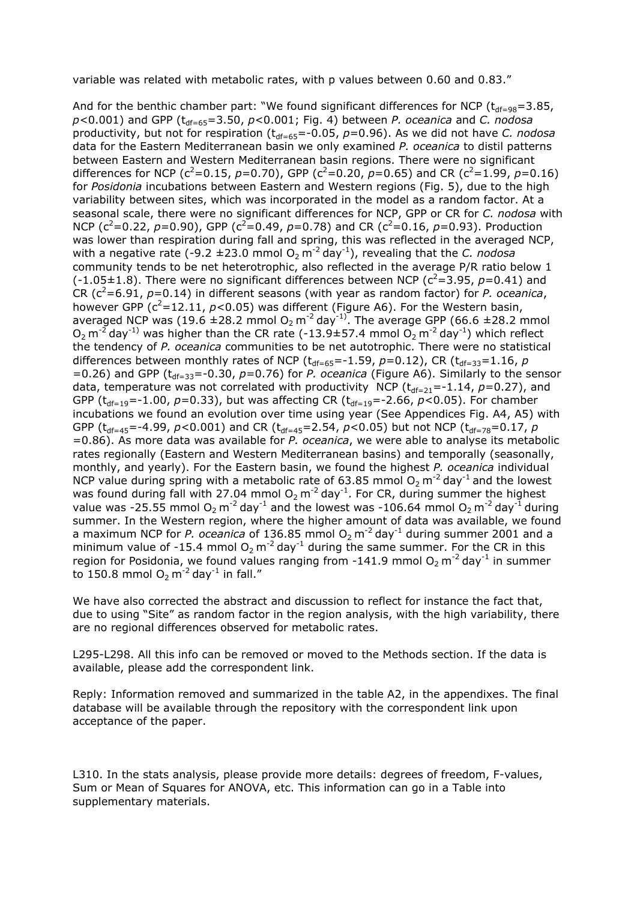variable was related with metabolic rates, with p values between 0.60 and 0.83."

And for the benthic chamber part: "We found significant differences for NCP ( $t_{df=98}=3.85$ , *p*<0.001) and GPP (t<sub>df=65</sub>=3.50, *p*<0.001; Fig. 4) between *P. oceanica* and *C. nodosa* productivity, but not for respiration (t<sub>df=65</sub>=-0.05, p=0.96). As we did not have *C. nodosa* data for the Eastern Mediterranean basin we only examined *P. oceanica* to distil patterns between Eastern and Western Mediterranean basin regions. There were no significant differences for NCP ( $c^2$ =0.15, *p*=0.70), GPP ( $c^2$ =0.20, *p*=0.65) and CR ( $c^2$ =1.99, *p*=0.16) for *Posidonia* incubations between Eastern and Western regions (Fig. 5), due to the high variability between sites, which was incorporated in the model as a random factor. At a seasonal scale, there were no significant differences for NCP, GPP or CR for *C. nodosa* with NCP ( $c^2$ =0.22,  $p$ =0.90), GPP ( $c^2$ =0.49,  $p$ =0.78) and CR ( $c^2$ =0.16,  $p$ =0.93). Production was lower than respiration during fall and spring, this was reflected in the averaged NCP, with a negative rate (-9.2  $\pm$ 23.0 mmol O<sub>2</sub> m<sup>-2</sup> day<sup>-1</sup>), revealing that the *C. nodosa* community tends to be net heterotrophic, also reflected in the average P/R ratio below 1  $(-1.05\pm1.8)$ . There were no significant differences between NCP ( $c^2$ =3.95,  $p$ =0.41) and CR ( $c^2$ =6.91,  $p$ =0.14) in different seasons (with year as random factor) for *P. oceanica*, however GPP  $(c^2=12.11, p<0.05)$  was different (Figure A6). For the Western basin, averaged NCP was (19.6  $\pm$ 28.2 mmol O<sub>2</sub> m<sup>-2</sup> day<sup>-1)</sup>. The average GPP (66.6  $\pm$ 28.2 mmol  $O_2$  m<sup>-2</sup> day<sup>-1)</sup> was higher than the CR rate (-13.9±57.4 mmol  $O_2$  m<sup>-2</sup> day<sup>-1</sup>) which reflect the tendency of *P. oceanica* communities to be net autotrophic. There were no statistical differences between monthly rates of NCP ( $t_{df=65}$ =-1.59,  $p=0.12$ ), CR ( $t_{df=33}=1.16$ ,  $p$  $=0.26$ ) and GPP ( $t_{df=33}$ =-0.30,  $p=0.76$ ) for *P. oceanica* (Figure A6). Similarly to the sensor data, temperature was not correlated with productivity NCP ( $t_{df=21}$ =-1.14,  $p=0.27$ ), and GPP ( $t_{df=19}$ =-1.00,  $p=0.33$ ), but was affecting CR ( $t_{df=19}$ =-2.66,  $p<0.05$ ). For chamber incubations we found an evolution over time using year (See Appendices Fig. A4, A5) with GPP ( $t_{df=45}$ =-4.99,  $p$ <0.001) and CR ( $t_{df=45}$ =2.54,  $p$ <0.05) but not NCP ( $t_{df=78}$ =0.17,  $p$ =0.86). As more data was available for *P. oceanica*, we were able to analyse its metabolic rates regionally (Eastern and Western Mediterranean basins) and temporally (seasonally, monthly, and yearly). For the Eastern basin, we found the highest *P. oceanica* individual NCP value during spring with a metabolic rate of 63.85 mmol  $O_2$  m<sup>-2</sup> day<sup>-1</sup> and the lowest was found during fall with 27.04 mmol  $O_2$  m<sup>-2</sup> day<sup>-1</sup>. For CR, during summer the highest value was -25.55 mmol  $O_2$  m<sup>-2</sup> day<sup>-1</sup> and the lowest was -106.64 mmol  $O_2$  m<sup>-2</sup> day<sup>-1</sup> during summer. In the Western region, where the higher amount of data was available, we found a maximum NCP for *P. oceanica* of 136.85 mmol O<sub>2</sub> m<sup>-2</sup> day<sup>-1</sup> during summer 2001 and a minimum value of -15.4 mmol  $O_2$  m<sup>-2</sup> day<sup>-1</sup> during the same summer. For the CR in this region for Posidonia, we found values ranging from -141.9 mmol  $O<sub>2</sub>$  m<sup>-2</sup> day<sup>-1</sup> in summer to 150.8 mmol  $O_2$  m<sup>-2</sup> day<sup>-1</sup> in fall."

We have also corrected the abstract and discussion to reflect for instance the fact that, due to using "Site" as random factor in the region analysis, with the high variability, there are no regional differences observed for metabolic rates.

L295-L298. All this info can be removed or moved to the Methods section. If the data is available, please add the correspondent link.

Reply: Information removed and summarized in the table A2, in the appendixes. The final database will be available through the repository with the correspondent link upon acceptance of the paper.

L310. In the stats analysis, please provide more details: degrees of freedom, F-values, Sum or Mean of Squares for ANOVA, etc. This information can go in a Table into supplementary materials.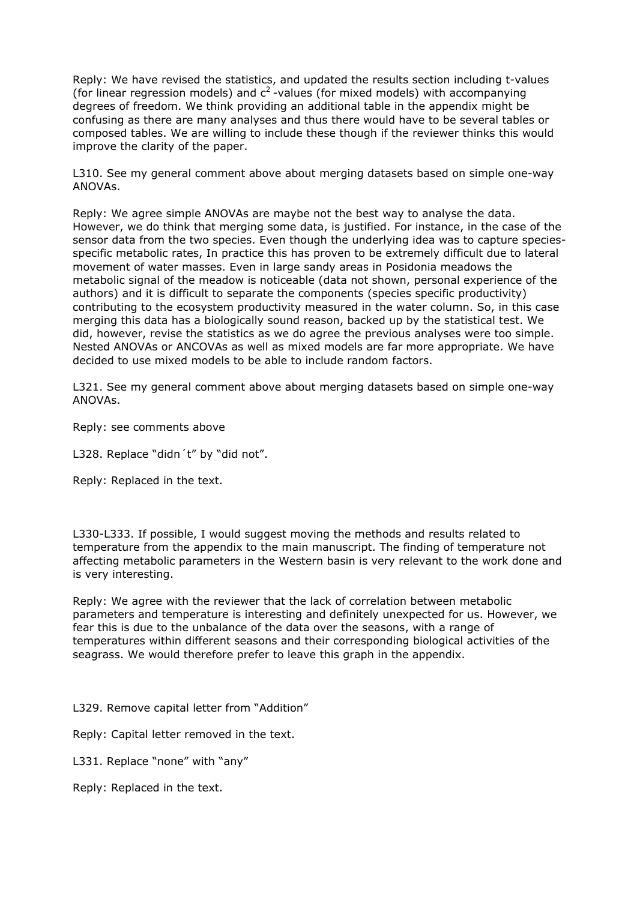Reply: We have revised the statistics, and updated the results section including t-values (for linear regression models) and  $c^2$ -values (for mixed models) with accompanying degrees of freedom. We think providing an additional table in the appendix might be confusing as there are many analyses and thus there would have to be several tables or composed tables. We are willing to include these though if the reviewer thinks this would improve the clarity of the paper.

L310. See my general comment above about merging datasets based on simple one-way ANOVAs.

Reply: We agree simple ANOVAs are maybe not the best way to analyse the data. However, we do think that merging some data, is justified. For instance, in the case of the sensor data from the two species. Even though the underlying idea was to capture speciesspecific metabolic rates, In practice this has proven to be extremely difficult due to lateral movement of water masses. Even in large sandy areas in Posidonia meadows the metabolic signal of the meadow is noticeable (data not shown, personal experience of the authors) and it is difficult to separate the components (species specific productivity) contributing to the ecosystem productivity measured in the water column. So, in this case merging this data has a biologically sound reason, backed up by the statistical test. We did, however, revise the statistics as we do agree the previous analyses were too simple. Nested ANOVAs or ANCOVAs as well as mixed models are far more appropriate. We have decided to use mixed models to be able to include random factors.

L321. See my general comment above about merging datasets based on simple one-way ANOVAs.

Reply: see comments above

L328. Replace "didn't" by "did not".

Reply: Replaced in the text.

L330-L333. If possible, I would suggest moving the methods and results related to temperature from the appendix to the main manuscript. The finding of temperature not affecting metabolic parameters in the Western basin is very relevant to the work done and is very interesting.

Reply: We agree with the reviewer that the lack of correlation between metabolic parameters and temperature is interesting and definitely unexpected for us. However, we fear this is due to the unbalance of the data over the seasons, with a range of temperatures within different seasons and their corresponding biological activities of the seagrass. We would therefore prefer to leave this graph in the appendix.

L329. Remove capital letter from "Addition"

Reply: Capital letter removed in the text.

L331. Replace "none" with "any"

Reply: Replaced in the text.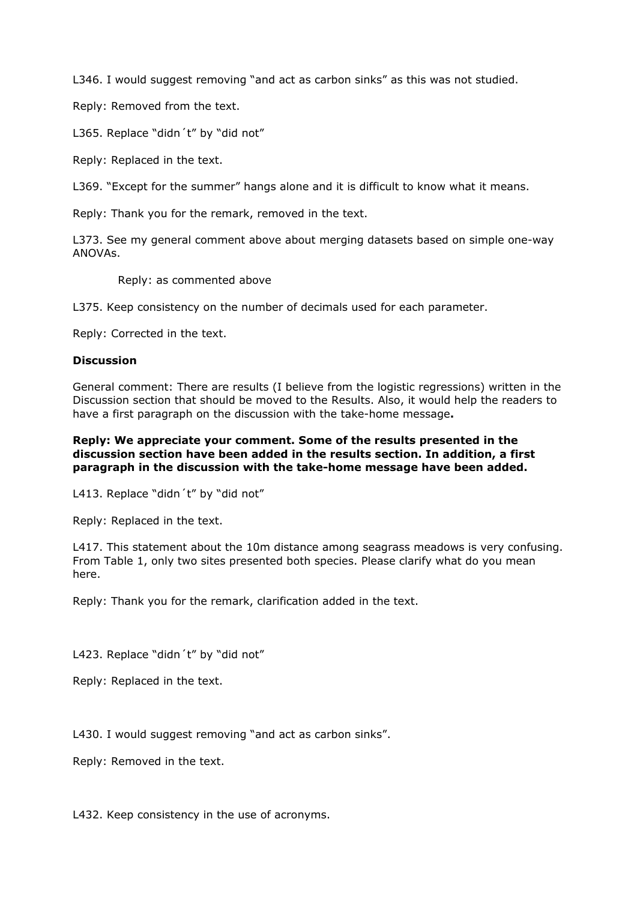L346. I would suggest removing "and act as carbon sinks" as this was not studied.

Reply: Removed from the text.

L365. Replace "didn't" by "did not"

Reply: Replaced in the text.

L369. "Except for the summer" hangs alone and it is difficult to know what it means.

Reply: Thank you for the remark, removed in the text.

L373. See my general comment above about merging datasets based on simple one-way ANOVAs.

Reply: as commented above

L375. Keep consistency on the number of decimals used for each parameter.

Reply: Corrected in the text.

#### **Discussion**

General comment: There are results (I believe from the logistic regressions) written in the Discussion section that should be moved to the Results. Also, it would help the readers to have a first paragraph on the discussion with the take-home message**.**

### **Reply: We appreciate your comment. Some of the results presented in the discussion section have been added in the results section. In addition, a first paragraph in the discussion with the take-home message have been added.**

L413. Replace "didn't" by "did not"

Reply: Replaced in the text.

L417. This statement about the 10m distance among seagrass meadows is very confusing. From Table 1, only two sites presented both species. Please clarify what do you mean here.

Reply: Thank you for the remark, clarification added in the text.

L423. Replace "didn't" by "did not"

Reply: Replaced in the text.

L430. I would suggest removing "and act as carbon sinks".

Reply: Removed in the text.

L432. Keep consistency in the use of acronyms.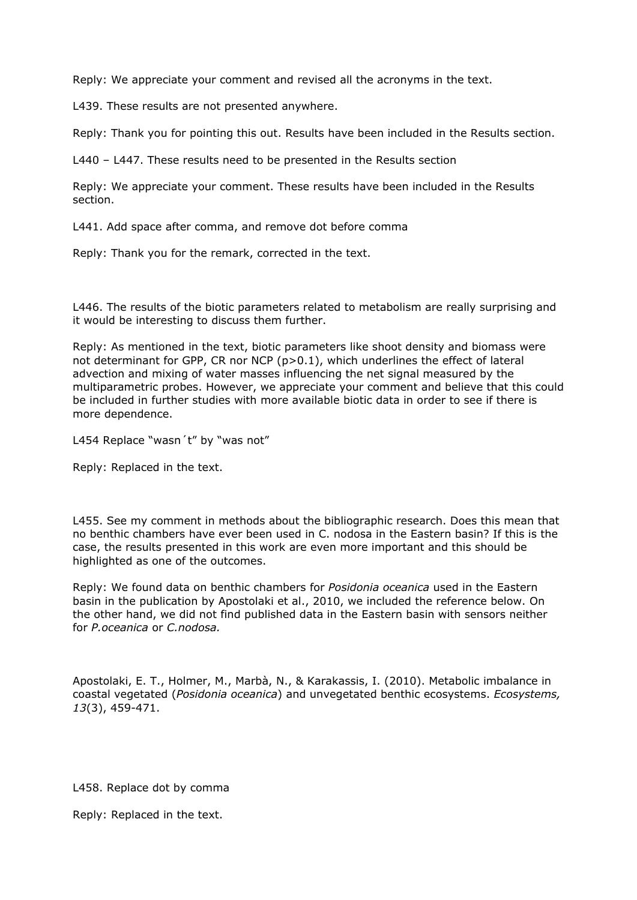Reply: We appreciate your comment and revised all the acronyms in the text.

L439. These results are not presented anywhere.

Reply: Thank you for pointing this out. Results have been included in the Results section.

L440 – L447. These results need to be presented in the Results section

Reply: We appreciate your comment. These results have been included in the Results section.

L441. Add space after comma, and remove dot before comma

Reply: Thank you for the remark, corrected in the text.

L446. The results of the biotic parameters related to metabolism are really surprising and it would be interesting to discuss them further.

Reply: As mentioned in the text, biotic parameters like shoot density and biomass were not determinant for GPP, CR nor NCP (p>0.1), which underlines the effect of lateral advection and mixing of water masses influencing the net signal measured by the multiparametric probes. However, we appreciate your comment and believe that this could be included in further studies with more available biotic data in order to see if there is more dependence.

L454 Replace "wasn't" by "was not"

Reply: Replaced in the text.

L455. See my comment in methods about the bibliographic research. Does this mean that no benthic chambers have ever been used in C. nodosa in the Eastern basin? If this is the case, the results presented in this work are even more important and this should be highlighted as one of the outcomes.

Reply: We found data on benthic chambers for *Posidonia oceanica* used in the Eastern basin in the publication by Apostolaki et al., 2010, we included the reference below. On the other hand, we did not find published data in the Eastern basin with sensors neither for *P.oceanica* or *C.nodosa.* 

Apostolaki, E. T., Holmer, M., Marbà, N., & Karakassis, I. (2010). Metabolic imbalance in coastal vegetated (*Posidonia oceanica*) and unvegetated benthic ecosystems. *Ecosystems, 13*(3), 459-471.

L458. Replace dot by comma

Reply: Replaced in the text.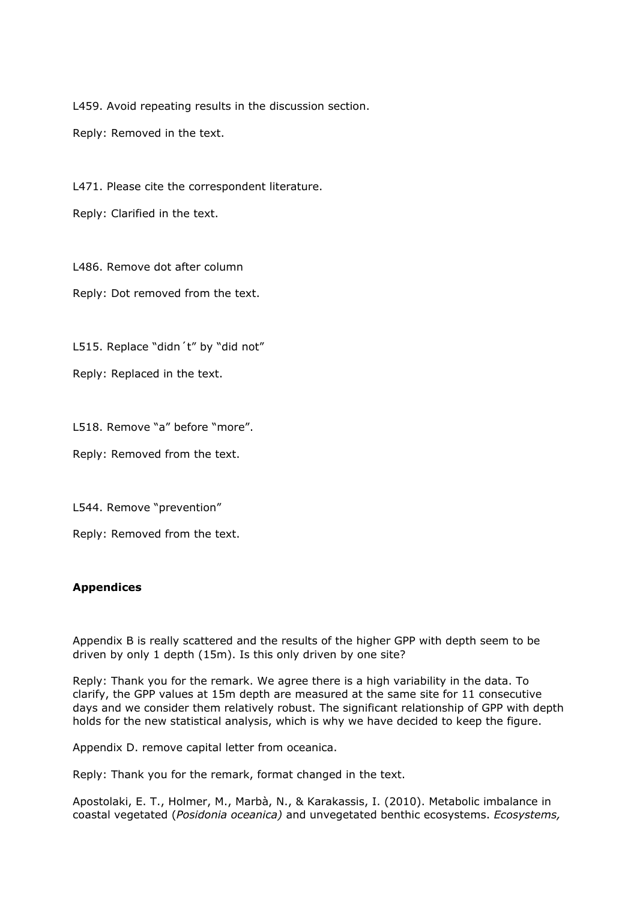L459. Avoid repeating results in the discussion section.

Reply: Removed in the text.

L471. Please cite the correspondent literature.

Reply: Clarified in the text.

L486. Remove dot after column

Reply: Dot removed from the text.

L515. Replace "didn't" by "did not"

Reply: Replaced in the text.

L518. Remove "a" before "more".

Reply: Removed from the text.

L544. Remove "prevention"

Reply: Removed from the text.

### **Appendices**

Appendix B is really scattered and the results of the higher GPP with depth seem to be driven by only 1 depth (15m). Is this only driven by one site?

Reply: Thank you for the remark. We agree there is a high variability in the data. To clarify, the GPP values at 15m depth are measured at the same site for 11 consecutive days and we consider them relatively robust. The significant relationship of GPP with depth holds for the new statistical analysis, which is why we have decided to keep the figure.

Appendix D. remove capital letter from oceanica.

Reply: Thank you for the remark, format changed in the text.

Apostolaki, E. T., Holmer, M., Marbà, N., & Karakassis, I. (2010). Metabolic imbalance in coastal vegetated (*Posidonia oceanica)* and unvegetated benthic ecosystems. *Ecosystems,*